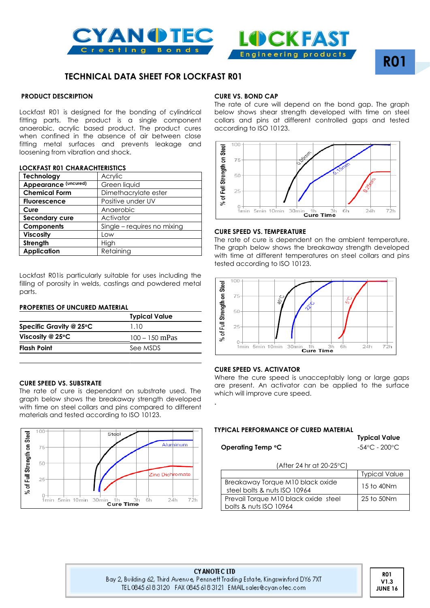



# **R01**

# **TECHNICAL DATA SHEET FOR LOCKFAST R01**

### **PRODUCT DESCRIPTION**

Lockfast R01 is designed for the bonding of cylindrical fitting parts. The product is a single component anaerobic, acrylic based product. The product cures when confined in the absence of air between close fitting metal surfaces and prevents leakage and loosening from vibration and shock.

#### **LOCKFAST R01 CHARACHTERISTICS**

| Technology           | Acrylic                     |
|----------------------|-----------------------------|
| Appearance (uncured) | Green liquid                |
| <b>Chemical Form</b> | Dimethacrylate ester        |
| <b>Fluorescence</b>  | Positive under UV           |
| Cure                 | Anaerobic                   |
| Secondary cure       | Activator                   |
| <b>Components</b>    | Single - requires no mixing |
| <b>Viscosity</b>     | Low                         |
| Strength             | High                        |
| <b>Application</b>   | Retaining                   |

Lockfast R01is particularly suitable for uses including the filling of porosity in welds, castings and powdered metal parts.

# **PROPERTIES OF UNCURED MATERIAL**

|                                   | <b>Typical Value</b> |  |  |
|-----------------------------------|----------------------|--|--|
| Specific Gravity @ $25^{\circ}$ C | 1.10                 |  |  |
| Viscosity @ $25^{\circ}$ C        | $100 - 150$ mPas     |  |  |
| <b>Flash Point</b>                | See MSDS             |  |  |
|                                   |                      |  |  |

#### **CURE SPEED VS. SUBSTRATE**

The rate of cure is dependant on substrate used. The graph below shows the breakaway strength developed with time on steel collars and pins compared to different materials and tested according to ISO 10123.



#### **CURE VS. BOND CAP**

The rate of cure will depend on the bond gap. The graph below shows shear strength developed with time on steel collars and pins at different controlled gaps and tested according to ISO 10123.



#### **CURE SPEED VS. TEMPERATURE**

The rate of cure is dependent on the ambient temperature. The graph below shows the breakaway strength developed with time at different temperatures on steel collars and pins tested according to ISO 10123.



#### **CURE SPEED VS. ACTIVATOR**

Where the cure speed is unacceptably long or large gaps are present. An activator can be applied to the surface which will improve cure speed.

#### **TYPICAL PERFORMANCE OF CURED MATERIAL**

**Operating Temp <sup>o</sup>C**  $-54^{\circ}$ C - 200<sup>o</sup>C

**Typical Value**

| $(After 24 hr ct 20-25°C)$ |  |  |
|----------------------------|--|--|

|                                                                  | <b>Typical Value</b> |
|------------------------------------------------------------------|----------------------|
| Breakaway Torque M10 black oxide<br>steel bolts & nuts ISO 10964 | 15 to 40Nm           |
| Prevail Torque M10 black oxide steel<br>bolts & nuts ISO 10964   | 25 to 50Nm           |

.